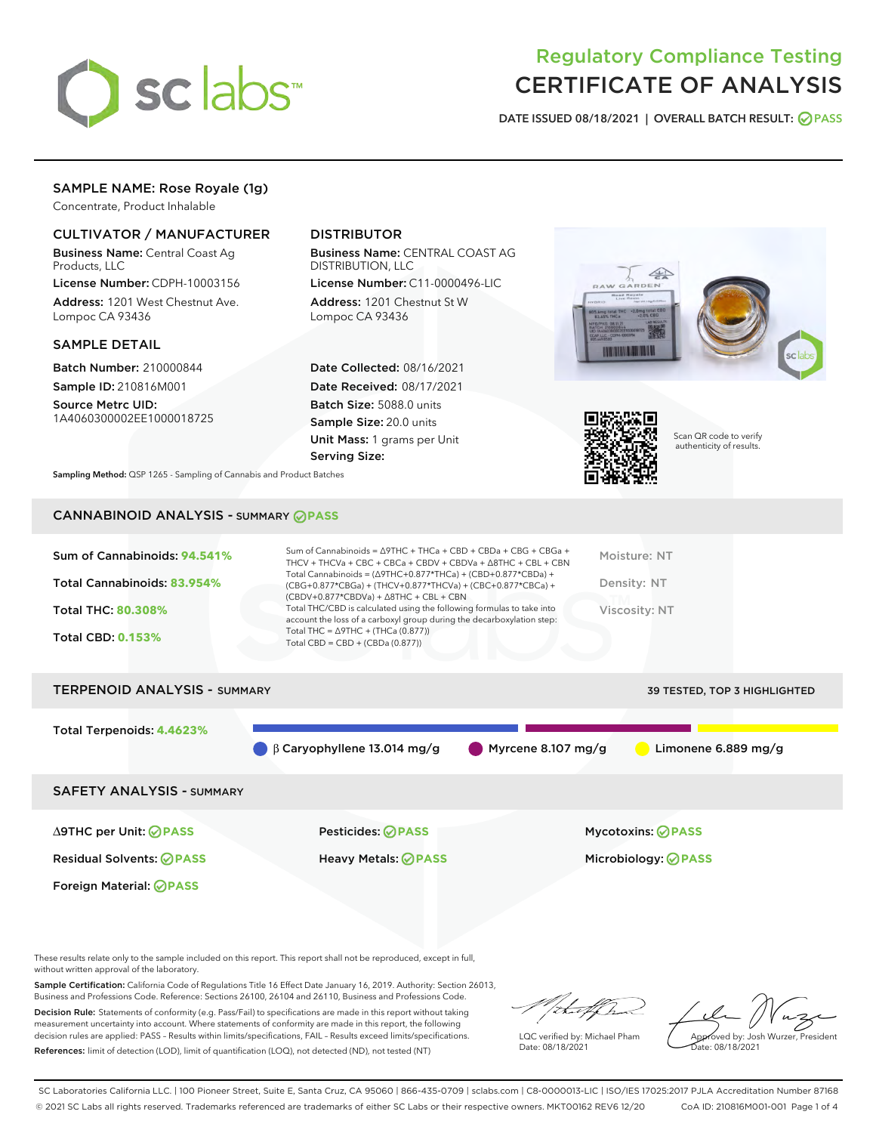

## Regulatory Compliance Testing CERTIFICATE OF ANALYSIS

DATE ISSUED 08/18/2021 | OVERALL BATCH RESULT: @ PASS

#### SAMPLE NAME: Rose Royale (1g)

Concentrate, Product Inhalable

#### CULTIVATOR / MANUFACTURER

Business Name: Central Coast Ag Products, LLC

License Number: CDPH-10003156 Address: 1201 West Chestnut Ave. Lompoc CA 93436

#### SAMPLE DETAIL

Batch Number: 210000844 Sample ID: 210816M001

Source Metrc UID: 1A4060300002EE1000018725

#### DISTRIBUTOR

Business Name: CENTRAL COAST AG DISTRIBUTION, LLC

License Number: C11-0000496-LIC Address: 1201 Chestnut St W Lompoc CA 93436

Date Collected: 08/16/2021 Date Received: 08/17/2021 Batch Size: 5088.0 units Sample Size: 20.0 units Unit Mass: 1 grams per Unit Serving Size:





Scan QR code to verify authenticity of results.

Sampling Method: QSP 1265 - Sampling of Cannabis and Product Batches

### CANNABINOID ANALYSIS - SUMMARY **PASS**

| Sum of Cannabinoids: 94.541% | Sum of Cannabinoids = $\triangle$ 9THC + THCa + CBD + CBDa + CBG + CBGa +<br>THCV + THCVa + CBC + CBCa + CBDV + CBDVa + $\Delta$ 8THC + CBL + CBN                                    | Moisture: NT  |
|------------------------------|--------------------------------------------------------------------------------------------------------------------------------------------------------------------------------------|---------------|
| Total Cannabinoids: 83.954%  | Total Cannabinoids = $(\Delta$ 9THC+0.877*THCa) + (CBD+0.877*CBDa) +<br>(CBG+0.877*CBGa) + (THCV+0.877*THCVa) + (CBC+0.877*CBCa) +<br>$(CBDV+0.877*CBDVa) + \Delta 8THC + CBL + CBN$ | Density: NT   |
| <b>Total THC: 80.308%</b>    | Total THC/CBD is calculated using the following formulas to take into<br>account the loss of a carboxyl group during the decarboxylation step:                                       | Viscosity: NT |
| <b>Total CBD: 0.153%</b>     | Total THC = $\triangle$ 9THC + (THCa (0.877))<br>Total CBD = $CBD + (CBDa (0.877))$                                                                                                  |               |
|                              |                                                                                                                                                                                      |               |

# TERPENOID ANALYSIS - SUMMARY 39 TESTED, TOP 3 HIGHLIGHTED Total Terpenoids: **4.4623%** β Caryophyllene 13.014 mg/g Myrcene 8.107 mg/g Limonene 6.889 mg/g SAFETY ANALYSIS - SUMMARY

Foreign Material: **PASS**

∆9THC per Unit: **PASS** Pesticides: **PASS** Mycotoxins: **PASS**

Residual Solvents: **PASS** Heavy Metals: **PASS** Microbiology: **PASS**

These results relate only to the sample included on this report. This report shall not be reproduced, except in full, without written approval of the laboratory.

Sample Certification: California Code of Regulations Title 16 Effect Date January 16, 2019. Authority: Section 26013, Business and Professions Code. Reference: Sections 26100, 26104 and 26110, Business and Professions Code.

Decision Rule: Statements of conformity (e.g. Pass/Fail) to specifications are made in this report without taking measurement uncertainty into account. Where statements of conformity are made in this report, the following decision rules are applied: PASS – Results within limits/specifications, FAIL – Results exceed limits/specifications. References: limit of detection (LOD), limit of quantification (LOQ), not detected (ND), not tested (NT)

that f(h

LQC verified by: Michael Pham Date: 08/18/2021

Approved by: Josh Wurzer, President Date: 08/18/2021

SC Laboratories California LLC. | 100 Pioneer Street, Suite E, Santa Cruz, CA 95060 | 866-435-0709 | sclabs.com | C8-0000013-LIC | ISO/IES 17025:2017 PJLA Accreditation Number 87168 © 2021 SC Labs all rights reserved. Trademarks referenced are trademarks of either SC Labs or their respective owners. MKT00162 REV6 12/20 CoA ID: 210816M001-001 Page 1 of 4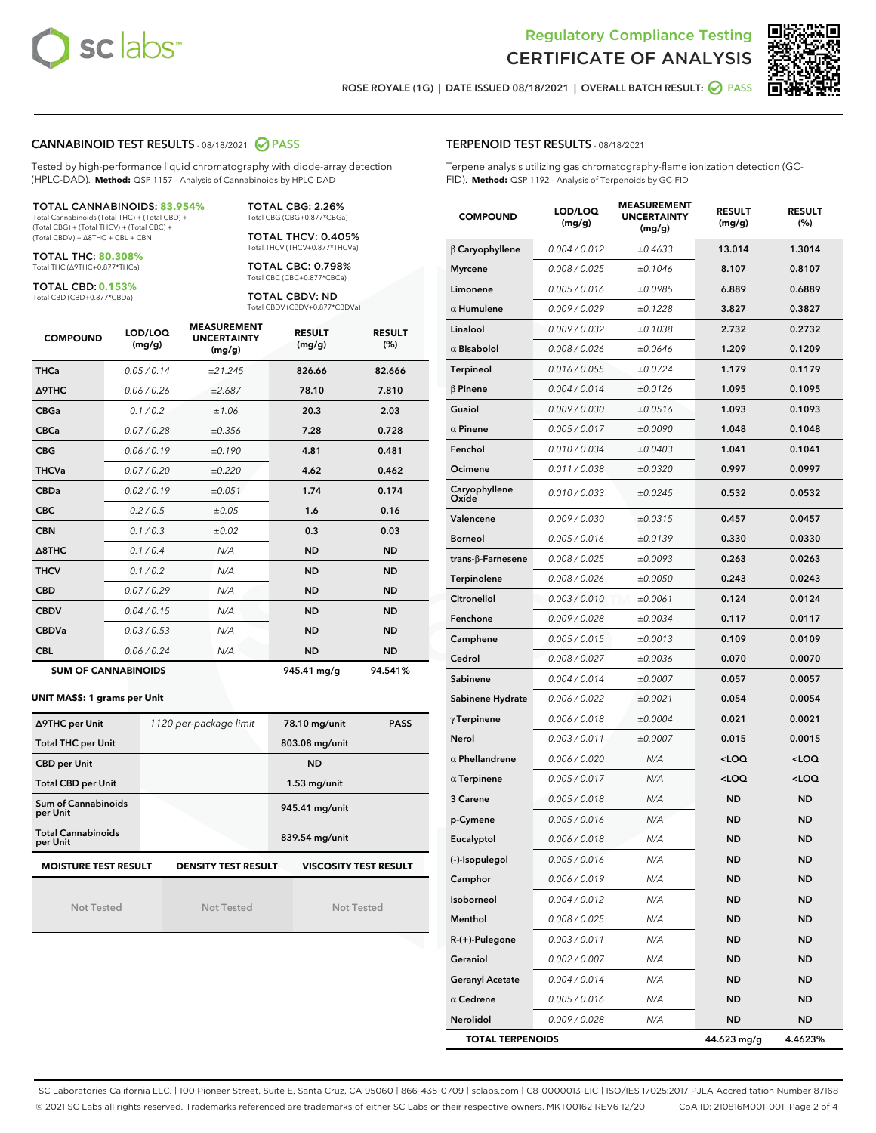



ROSE ROYALE (1G) | DATE ISSUED 08/18/2021 | OVERALL BATCH RESULT: @ PASS

#### CANNABINOID TEST RESULTS - 08/18/2021 2 PASS

Tested by high-performance liquid chromatography with diode-array detection (HPLC-DAD). **Method:** QSP 1157 - Analysis of Cannabinoids by HPLC-DAD

#### TOTAL CANNABINOIDS: **83.954%** Total Cannabinoids (Total THC) + (Total CBD) +

(Total CBG) + (Total THCV) + (Total CBC) + (Total CBDV) + ∆8THC + CBL + CBN

TOTAL THC: **80.308%** Total THC (∆9THC+0.877\*THCa)

TOTAL CBD: **0.153%**

Total CBD (CBD+0.877\*CBDa)

TOTAL CBG: 2.26% Total CBG (CBG+0.877\*CBGa)

TOTAL THCV: 0.405% Total THCV (THCV+0.877\*THCVa)

TOTAL CBC: 0.798% Total CBC (CBC+0.877\*CBCa)

TOTAL CBDV: ND Total CBDV (CBDV+0.877\*CBDVa)

| <b>COMPOUND</b>  | LOD/LOQ<br>(mg/g)          | <b>MEASUREMENT</b><br><b>UNCERTAINTY</b><br>(mg/g) | <b>RESULT</b><br>(mg/g) | <b>RESULT</b><br>(%) |
|------------------|----------------------------|----------------------------------------------------|-------------------------|----------------------|
| <b>THCa</b>      | 0.05/0.14                  | ±21.245                                            | 826.66                  | 82.666               |
| <b>A9THC</b>     | 0.06 / 0.26                | ±2.687                                             | 78.10                   | 7.810                |
| <b>CBGa</b>      | 0.1 / 0.2                  | ±1.06                                              | 20.3                    | 2.03                 |
| <b>CBCa</b>      | 0.07 / 0.28                | ±0.356                                             | 7.28                    | 0.728                |
| <b>CBG</b>       | 0.06/0.19                  | ±0.190                                             | 4.81                    | 0.481                |
| <b>THCVa</b>     | 0.07/0.20                  | ±0.220                                             | 4.62                    | 0.462                |
| <b>CBDa</b>      | 0.02 / 0.19                | ±0.051                                             | 1.74                    | 0.174                |
| <b>CBC</b>       | 0.2 / 0.5                  | ±0.05                                              | 1.6                     | 0.16                 |
| <b>CBN</b>       | 0.1/0.3                    | ±0.02                                              | 0.3                     | 0.03                 |
| $\triangle$ 8THC | 0.1 / 0.4                  | N/A                                                | <b>ND</b>               | <b>ND</b>            |
| <b>THCV</b>      | 0.1/0.2                    | N/A                                                | <b>ND</b>               | <b>ND</b>            |
| <b>CBD</b>       | 0.07/0.29                  | N/A                                                | <b>ND</b>               | <b>ND</b>            |
| <b>CBDV</b>      | 0.04 / 0.15                | N/A                                                | <b>ND</b>               | <b>ND</b>            |
| <b>CBDVa</b>     | 0.03 / 0.53                | N/A                                                | <b>ND</b>               | <b>ND</b>            |
| <b>CBL</b>       | 0.06 / 0.24                | N/A                                                | <b>ND</b>               | <b>ND</b>            |
|                  | <b>SUM OF CANNABINOIDS</b> |                                                    | 945.41 mg/g             | 94.541%              |

#### **UNIT MASS: 1 grams per Unit**

| ∆9THC per Unit                                                                            | 1120 per-package limit | 78.10 mg/unit<br><b>PASS</b> |  |  |  |  |
|-------------------------------------------------------------------------------------------|------------------------|------------------------------|--|--|--|--|
| <b>Total THC per Unit</b>                                                                 |                        | 803.08 mg/unit               |  |  |  |  |
| <b>CBD per Unit</b>                                                                       |                        | <b>ND</b>                    |  |  |  |  |
| <b>Total CBD per Unit</b>                                                                 |                        | $1.53$ mg/unit               |  |  |  |  |
| Sum of Cannabinoids<br>per Unit                                                           |                        | 945.41 mg/unit               |  |  |  |  |
| <b>Total Cannabinoids</b><br>per Unit                                                     |                        | 839.54 mg/unit               |  |  |  |  |
| <b>MOISTURE TEST RESULT</b><br><b>DENSITY TEST RESULT</b><br><b>VISCOSITY TEST RESULT</b> |                        |                              |  |  |  |  |

Not Tested

Not Tested

Not Tested

#### TERPENOID TEST RESULTS - 08/18/2021

Terpene analysis utilizing gas chromatography-flame ionization detection (GC-FID). **Method:** QSP 1192 - Analysis of Terpenoids by GC-FID

| <b>COMPOUND</b>         | LOD/LOQ<br>(mg/g) | <b>MEASUREMENT</b><br><b>UNCERTAINTY</b><br>(mg/g) | <b>RESULT</b><br>(mg/g)                         | <b>RESULT</b><br>(%) |
|-------------------------|-------------------|----------------------------------------------------|-------------------------------------------------|----------------------|
| $\beta$ Caryophyllene   | 0.004 / 0.012     | ±0.4633                                            | 13.014                                          | 1.3014               |
| <b>Myrcene</b>          | 0.008 / 0.025     | ±0.1046                                            | 8.107                                           | 0.8107               |
| Limonene                | 0.005 / 0.016     | ±0.0985                                            | 6.889                                           | 0.6889               |
| $\alpha$ Humulene       | 0.009/0.029       | ±0.1228                                            | 3.827                                           | 0.3827               |
| Linalool                | 0.009 / 0.032     | ±0.1038                                            | 2.732                                           | 0.2732               |
| $\alpha$ Bisabolol      | 0.008 / 0.026     | ±0.0646                                            | 1.209                                           | 0.1209               |
| Terpineol               | 0.016 / 0.055     | ±0.0724                                            | 1.179                                           | 0.1179               |
| $\beta$ Pinene          | 0.004 / 0.014     | ±0.0126                                            | 1.095                                           | 0.1095               |
| Guaiol                  | 0.009 / 0.030     | ±0.0516                                            | 1.093                                           | 0.1093               |
| $\alpha$ Pinene         | 0.005 / 0.017     | ±0.0090                                            | 1.048                                           | 0.1048               |
| Fenchol                 | 0.010 / 0.034     | ±0.0403                                            | 1.041                                           | 0.1041               |
| Ocimene                 | 0.011 / 0.038     | ±0.0320                                            | 0.997                                           | 0.0997               |
| Caryophyllene<br>Oxide  | 0.010 / 0.033     | ±0.0245                                            | 0.532                                           | 0.0532               |
| Valencene               | 0.009 / 0.030     | ±0.0315                                            | 0.457                                           | 0.0457               |
| <b>Borneol</b>          | 0.005 / 0.016     | ±0.0139                                            | 0.330                                           | 0.0330               |
| trans-β-Farnesene       | 0.008 / 0.025     | ±0.0093                                            | 0.263                                           | 0.0263               |
| Terpinolene             | 0.008 / 0.026     | ±0.0050                                            | 0.243                                           | 0.0243               |
| Citronellol             | 0.003 / 0.010     | ±0.0061                                            | 0.124                                           | 0.0124               |
| Fenchone                | 0.009 / 0.028     | ±0.0034                                            | 0.117                                           | 0.0117               |
| Camphene                | 0.005 / 0.015     | ±0.0013                                            | 0.109                                           | 0.0109               |
| Cedrol                  | 0.008 / 0.027     | ±0.0036                                            | 0.070                                           | 0.0070               |
| Sabinene                | 0.004 / 0.014     | ±0.0007                                            | 0.057                                           | 0.0057               |
| Sabinene Hydrate        | 0.006 / 0.022     | ±0.0021                                            | 0.054                                           | 0.0054               |
| $\gamma$ Terpinene      | 0.006 / 0.018     | ±0.0004                                            | 0.021                                           | 0.0021               |
| Nerol                   | 0.003 / 0.011     | ±0.0007                                            | 0.015                                           | 0.0015               |
| $\alpha$ Phellandrene   | 0.006 / 0.020     | N/A                                                | <loq< th=""><th><loq< th=""></loq<></th></loq<> | <loq< th=""></loq<>  |
| $\alpha$ Terpinene      | 0.005 / 0.017     | N/A                                                | <loq< th=""><th><loq< th=""></loq<></th></loq<> | <loq< th=""></loq<>  |
| 3 Carene                | 0.005 / 0.018     | N/A                                                | <b>ND</b>                                       | <b>ND</b>            |
| p-Cymene                | 0.005 / 0.016     | N/A                                                | ND                                              | ND                   |
| Eucalyptol              | 0.006 / 0.018     | N/A                                                | ND                                              | ND                   |
| (-)-Isopulegol          | 0.005 / 0.016     | N/A                                                | ND                                              | ND                   |
| Camphor                 | 0.006 / 0.019     | N/A                                                | ND                                              | <b>ND</b>            |
| Isoborneol              | 0.004 / 0.012     | N/A                                                | <b>ND</b>                                       | <b>ND</b>            |
| Menthol                 | 0.008 / 0.025     | N/A                                                | ND                                              | ND                   |
| R-(+)-Pulegone          | 0.003 / 0.011     | N/A                                                | ND                                              | ND                   |
| Geraniol                | 0.002 / 0.007     | N/A                                                | ND                                              | ND                   |
| <b>Geranyl Acetate</b>  | 0.004 / 0.014     | N/A                                                | ND                                              | ND                   |
| $\alpha$ Cedrene        | 0.005 / 0.016     | N/A                                                | ND                                              | ND                   |
| Nerolidol               | 0.009 / 0.028     | N/A                                                | <b>ND</b>                                       | ND                   |
| <b>TOTAL TERPENOIDS</b> |                   |                                                    | 44.623 mg/g                                     | 4.4623%              |

SC Laboratories California LLC. | 100 Pioneer Street, Suite E, Santa Cruz, CA 95060 | 866-435-0709 | sclabs.com | C8-0000013-LIC | ISO/IES 17025:2017 PJLA Accreditation Number 87168 © 2021 SC Labs all rights reserved. Trademarks referenced are trademarks of either SC Labs or their respective owners. MKT00162 REV6 12/20 CoA ID: 210816M001-001 Page 2 of 4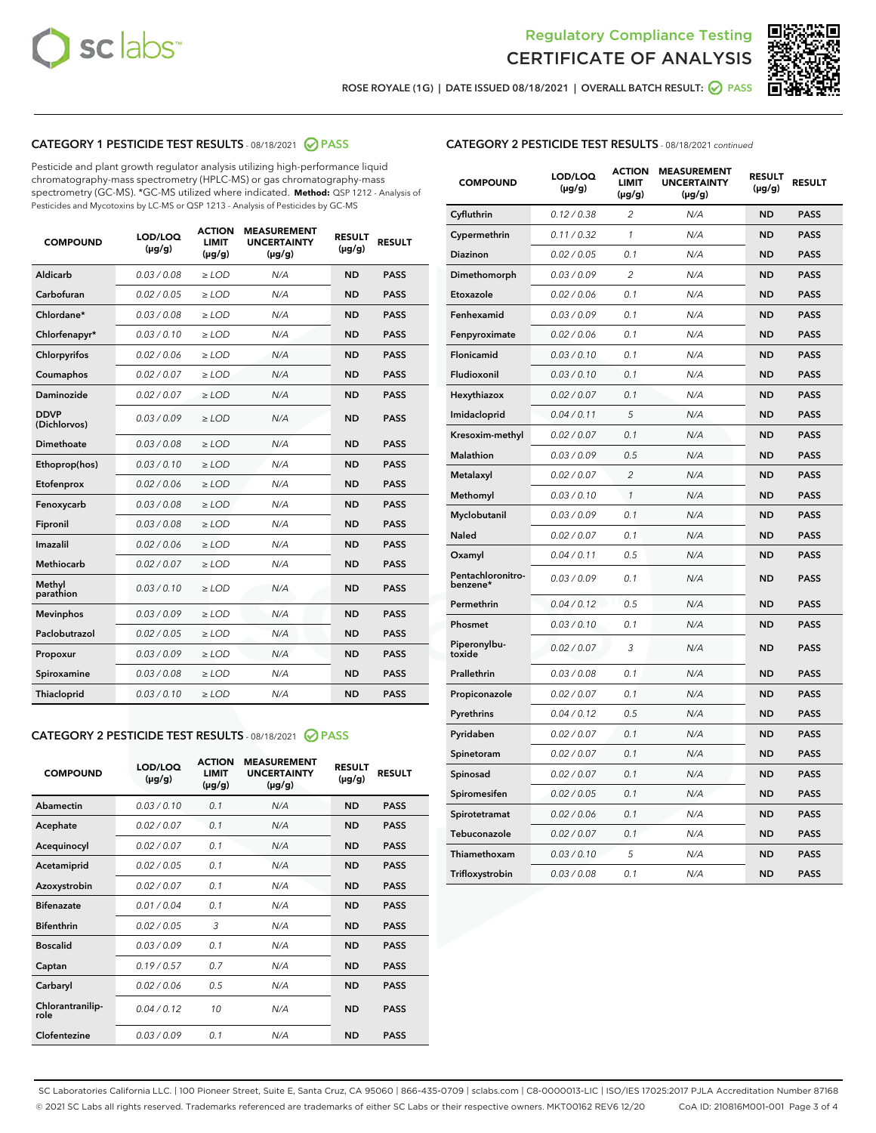



ROSE ROYALE (1G) | DATE ISSUED 08/18/2021 | OVERALL BATCH RESULT:  $\bigcirc$  PASS

#### CATEGORY 1 PESTICIDE TEST RESULTS - 08/18/2021 2 PASS

Pesticide and plant growth regulator analysis utilizing high-performance liquid chromatography-mass spectrometry (HPLC-MS) or gas chromatography-mass spectrometry (GC-MS). \*GC-MS utilized where indicated. **Method:** QSP 1212 - Analysis of Pesticides and Mycotoxins by LC-MS or QSP 1213 - Analysis of Pesticides by GC-MS

| <b>COMPOUND</b>             | LOD/LOQ<br>$(\mu g/g)$ | <b>ACTION</b><br><b>LIMIT</b><br>$(\mu g/g)$ | <b>MEASUREMENT</b><br><b>UNCERTAINTY</b><br>$(\mu g/g)$ | <b>RESULT</b><br>$(\mu g/g)$ | <b>RESULT</b> |
|-----------------------------|------------------------|----------------------------------------------|---------------------------------------------------------|------------------------------|---------------|
| Aldicarb                    | 0.03/0.08              | $>$ LOD                                      | N/A                                                     | <b>ND</b>                    | <b>PASS</b>   |
| Carbofuran                  | 0.02 / 0.05            | $\ge$ LOD                                    | N/A                                                     | <b>ND</b>                    | <b>PASS</b>   |
| Chlordane*                  | 0.03/0.08              | $>$ LOD                                      | N/A                                                     | <b>ND</b>                    | <b>PASS</b>   |
| Chlorfenapyr*               | 0.03 / 0.10            | $\ge$ LOD                                    | N/A                                                     | <b>ND</b>                    | <b>PASS</b>   |
| Chlorpyrifos                | 0.02 / 0.06            | $\ge$ LOD                                    | N/A                                                     | <b>ND</b>                    | <b>PASS</b>   |
| Coumaphos                   | 0.02 / 0.07            | $\ge$ LOD                                    | N/A                                                     | <b>ND</b>                    | <b>PASS</b>   |
| Daminozide                  | 0.02 / 0.07            | $\ge$ LOD                                    | N/A                                                     | <b>ND</b>                    | <b>PASS</b>   |
| <b>DDVP</b><br>(Dichlorvos) | 0.03/0.09              | $\ge$ LOD                                    | N/A                                                     | <b>ND</b>                    | <b>PASS</b>   |
| <b>Dimethoate</b>           | 0.03/0.08              | $\ge$ LOD                                    | N/A                                                     | <b>ND</b>                    | <b>PASS</b>   |
| Ethoprop(hos)               | 0.03/0.10              | $\ge$ LOD                                    | N/A                                                     | <b>ND</b>                    | <b>PASS</b>   |
| Etofenprox                  | 0.02 / 0.06            | $\ge$ LOD                                    | N/A                                                     | <b>ND</b>                    | <b>PASS</b>   |
| Fenoxycarb                  | 0.03 / 0.08            | $\ge$ LOD                                    | N/A                                                     | <b>ND</b>                    | <b>PASS</b>   |
| Fipronil                    | 0.03/0.08              | $>$ LOD                                      | N/A                                                     | <b>ND</b>                    | <b>PASS</b>   |
| Imazalil                    | 0.02 / 0.06            | $\ge$ LOD                                    | N/A                                                     | <b>ND</b>                    | <b>PASS</b>   |
| Methiocarb                  | 0.02 / 0.07            | $\ge$ LOD                                    | N/A                                                     | <b>ND</b>                    | <b>PASS</b>   |
| Methyl<br>parathion         | 0.03/0.10              | $\ge$ LOD                                    | N/A                                                     | <b>ND</b>                    | <b>PASS</b>   |
| <b>Mevinphos</b>            | 0.03/0.09              | $\ge$ LOD                                    | N/A                                                     | <b>ND</b>                    | <b>PASS</b>   |
| Paclobutrazol               | 0.02 / 0.05            | $>$ LOD                                      | N/A                                                     | <b>ND</b>                    | <b>PASS</b>   |
| Propoxur                    | 0.03/0.09              | $\ge$ LOD                                    | N/A                                                     | <b>ND</b>                    | <b>PASS</b>   |
| Spiroxamine                 | 0.03 / 0.08            | $\ge$ LOD                                    | N/A                                                     | <b>ND</b>                    | <b>PASS</b>   |
| Thiacloprid                 | 0.03/0.10              | $\ge$ LOD                                    | N/A                                                     | <b>ND</b>                    | <b>PASS</b>   |
|                             |                        |                                              |                                                         |                              |               |

#### CATEGORY 2 PESTICIDE TEST RESULTS - 08/18/2021 @ PASS

| <b>COMPOUND</b>          | LOD/LOO<br>$(\mu g/g)$ | <b>ACTION</b><br>LIMIT<br>$(\mu g/g)$ | <b>MEASUREMENT</b><br><b>UNCERTAINTY</b><br>$(\mu g/g)$ | <b>RESULT</b><br>$(\mu g/g)$ | <b>RESULT</b> |
|--------------------------|------------------------|---------------------------------------|---------------------------------------------------------|------------------------------|---------------|
| Abamectin                | 0.03/0.10              | 0.1                                   | N/A                                                     | <b>ND</b>                    | <b>PASS</b>   |
| Acephate                 | 0.02/0.07              | 0.1                                   | N/A                                                     | <b>ND</b>                    | <b>PASS</b>   |
| Acequinocyl              | 0.02/0.07              | 0.1                                   | N/A                                                     | <b>ND</b>                    | <b>PASS</b>   |
| Acetamiprid              | 0.02/0.05              | 0.1                                   | N/A                                                     | <b>ND</b>                    | <b>PASS</b>   |
| Azoxystrobin             | 0.02/0.07              | 0.1                                   | N/A                                                     | <b>ND</b>                    | <b>PASS</b>   |
| <b>Bifenazate</b>        | 0.01/0.04              | 0.1                                   | N/A                                                     | <b>ND</b>                    | <b>PASS</b>   |
| <b>Bifenthrin</b>        | 0.02/0.05              | 3                                     | N/A                                                     | <b>ND</b>                    | <b>PASS</b>   |
| <b>Boscalid</b>          | 0.03/0.09              | 0.1                                   | N/A                                                     | <b>ND</b>                    | <b>PASS</b>   |
| Captan                   | 0.19/0.57              | 0.7                                   | N/A                                                     | <b>ND</b>                    | <b>PASS</b>   |
| Carbaryl                 | 0.02/0.06              | 0.5                                   | N/A                                                     | <b>ND</b>                    | <b>PASS</b>   |
| Chlorantranilip-<br>role | 0.04/0.12              | 10                                    | N/A                                                     | <b>ND</b>                    | <b>PASS</b>   |
| Clofentezine             | 0.03/0.09              | 0.1                                   | N/A                                                     | <b>ND</b>                    | <b>PASS</b>   |

| <b>CATEGORY 2 PESTICIDE TEST RESULTS</b> - 08/18/2021 continued |  |  |  |
|-----------------------------------------------------------------|--|--|--|
|                                                                 |  |  |  |

| <b>COMPOUND</b>               | LOD/LOQ<br>(µg/g) | <b>ACTION</b><br><b>LIMIT</b><br>(µg/g) | <b>MEASUREMENT</b><br><b>UNCERTAINTY</b><br>(µg/g) | <b>RESULT</b><br>(µg/g) | <b>RESULT</b> |
|-------------------------------|-------------------|-----------------------------------------|----------------------------------------------------|-------------------------|---------------|
| Cyfluthrin                    | 0.12 / 0.38       | 2                                       | N/A                                                | <b>ND</b>               | <b>PASS</b>   |
| Cypermethrin                  | 0.11 / 0.32       | 1                                       | N/A                                                | <b>ND</b>               | <b>PASS</b>   |
| Diazinon                      | 0.02 / 0.05       | 0.1                                     | N/A                                                | <b>ND</b>               | <b>PASS</b>   |
| Dimethomorph                  | 0.03 / 0.09       | 2                                       | N/A                                                | <b>ND</b>               | <b>PASS</b>   |
| Etoxazole                     | 0.02 / 0.06       | 0.1                                     | N/A                                                | <b>ND</b>               | <b>PASS</b>   |
| Fenhexamid                    | 0.03 / 0.09       | 0.1                                     | N/A                                                | <b>ND</b>               | <b>PASS</b>   |
| Fenpyroximate                 | 0.02 / 0.06       | 0.1                                     | N/A                                                | <b>ND</b>               | <b>PASS</b>   |
| Flonicamid                    | 0.03 / 0.10       | 0.1                                     | N/A                                                | <b>ND</b>               | <b>PASS</b>   |
| Fludioxonil                   | 0.03/0.10         | 0.1                                     | N/A                                                | <b>ND</b>               | <b>PASS</b>   |
| Hexythiazox                   | 0.02 / 0.07       | 0.1                                     | N/A                                                | <b>ND</b>               | <b>PASS</b>   |
| Imidacloprid                  | 0.04 / 0.11       | 5                                       | N/A                                                | <b>ND</b>               | <b>PASS</b>   |
| Kresoxim-methyl               | 0.02 / 0.07       | 0.1                                     | N/A                                                | <b>ND</b>               | <b>PASS</b>   |
| Malathion                     | 0.03 / 0.09       | 0.5                                     | N/A                                                | <b>ND</b>               | <b>PASS</b>   |
| Metalaxyl                     | 0.02 / 0.07       | $\overline{c}$                          | N/A                                                | <b>ND</b>               | <b>PASS</b>   |
| Methomyl                      | 0.03 / 0.10       | $\mathcal{I}$                           | N/A                                                | <b>ND</b>               | <b>PASS</b>   |
| Myclobutanil                  | 0.03 / 0.09       | 0.1                                     | N/A                                                | <b>ND</b>               | <b>PASS</b>   |
| <b>Naled</b>                  | 0.02 / 0.07       | 0.1                                     | N/A                                                | <b>ND</b>               | <b>PASS</b>   |
| Oxamyl                        | 0.04 / 0.11       | 0.5                                     | N/A                                                | ND                      | <b>PASS</b>   |
| Pentachloronitro-<br>benzene* | 0.03 / 0.09       | 0.1                                     | N/A                                                | <b>ND</b>               | <b>PASS</b>   |
| Permethrin                    | 0.04 / 0.12       | 0.5                                     | N/A                                                | <b>ND</b>               | <b>PASS</b>   |
| Phosmet                       | 0.03/0.10         | 0.1                                     | N/A                                                | <b>ND</b>               | <b>PASS</b>   |
| Piperonylbu-<br>toxide        | 0.02 / 0.07       | 3                                       | N/A                                                | <b>ND</b>               | <b>PASS</b>   |
| Prallethrin                   | 0.03 / 0.08       | 0.1                                     | N/A                                                | <b>ND</b>               | <b>PASS</b>   |
| Propiconazole                 | 0.02 / 0.07       | 0.1                                     | N/A                                                | <b>ND</b>               | <b>PASS</b>   |
| Pyrethrins                    | 0.04 / 0.12       | 0.5                                     | N/A                                                | <b>ND</b>               | <b>PASS</b>   |
| Pyridaben                     | 0.02 / 0.07       | 0.1                                     | N/A                                                | <b>ND</b>               | <b>PASS</b>   |
| Spinetoram                    | 0.02 / 0.07       | 0.1                                     | N/A                                                | <b>ND</b>               | <b>PASS</b>   |
| Spinosad                      | 0.02 / 0.07       | 0.1                                     | N/A                                                | <b>ND</b>               | <b>PASS</b>   |
| Spiromesifen                  | 0.02 / 0.05       | 0.1                                     | N/A                                                | <b>ND</b>               | <b>PASS</b>   |
| Spirotetramat                 | 0.02 / 0.06       | 0.1                                     | N/A                                                | <b>ND</b>               | <b>PASS</b>   |
| Tebuconazole                  | 0.02 / 0.07       | 0.1                                     | N/A                                                | ND                      | <b>PASS</b>   |
| Thiamethoxam                  | 0.03 / 0.10       | 5                                       | N/A                                                | <b>ND</b>               | <b>PASS</b>   |
| Trifloxystrobin               | 0.03 / 0.08       | 0.1                                     | N/A                                                | <b>ND</b>               | <b>PASS</b>   |

SC Laboratories California LLC. | 100 Pioneer Street, Suite E, Santa Cruz, CA 95060 | 866-435-0709 | sclabs.com | C8-0000013-LIC | ISO/IES 17025:2017 PJLA Accreditation Number 87168 © 2021 SC Labs all rights reserved. Trademarks referenced are trademarks of either SC Labs or their respective owners. MKT00162 REV6 12/20 CoA ID: 210816M001-001 Page 3 of 4